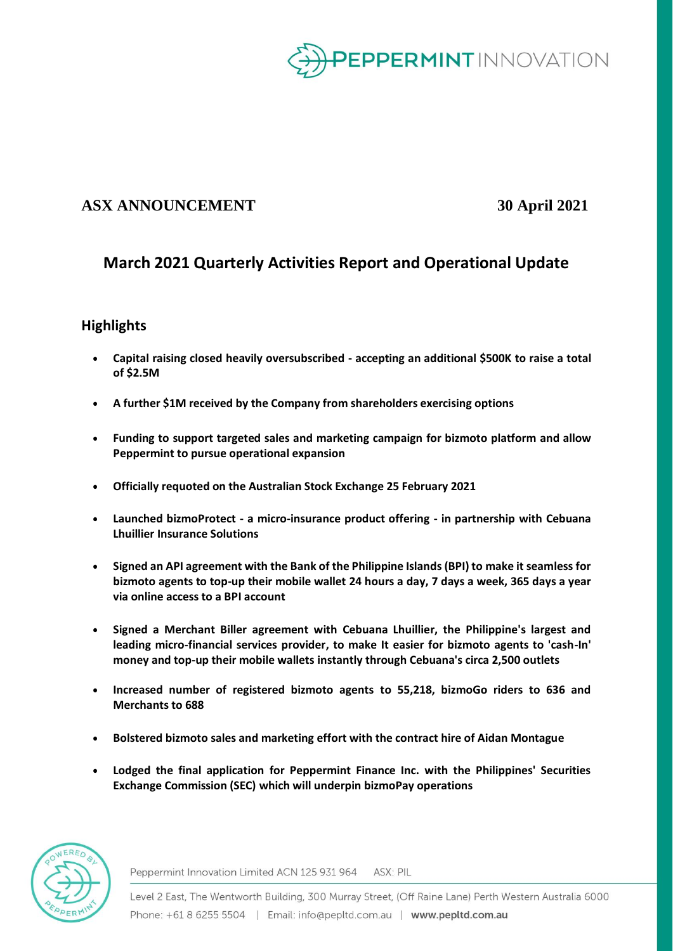

# **ASX ANNOUNCEMENT 30 April 2021**

# **March 2021 Quarterly Activities Report and Operational Update**

# **Highlights**

- **Capital raising closed heavily oversubscribed - accepting an additional \$500K to raise a total of \$2.5M**
- **A further \$1M received by the Company from shareholders exercising options**
- **Funding to support targeted sales and marketing campaign for bizmoto platform and allow Peppermint to pursue operational expansion**
- **Officially requoted on the Australian Stock Exchange 25 February 2021**
- **Launched bizmoProtect - a micro-insurance product offering - in partnership with Cebuana Lhuillier Insurance Solutions**
- **Signed an API agreement with the Bank of the Philippine Islands (BPI) to make it seamless for bizmoto agents to top-up their mobile wallet 24 hours a day, 7 days a week, 365 days a year via online access to a BPI account**
- **Signed a Merchant Biller agreement with Cebuana Lhuillier, the Philippine's largest and leading micro-financial services provider, to make It easier for bizmoto agents to 'cash-In' money and top-up their mobile wallets instantly through Cebuana's circa 2,500 outlets**
- **Increased number of registered bizmoto agents to 55,218, bizmoGo riders to 636 and Merchants to 688**
- **Bolstered bizmoto sales and marketing effort with the contract hire of Aidan Montague**
- **Lodged the final application for Peppermint Finance Inc. with the Philippines' Securities Exchange Commission (SEC) which will underpin bizmoPay operations**



Peppermint Innovation Limited ACN 125 931 964 ASX: PIL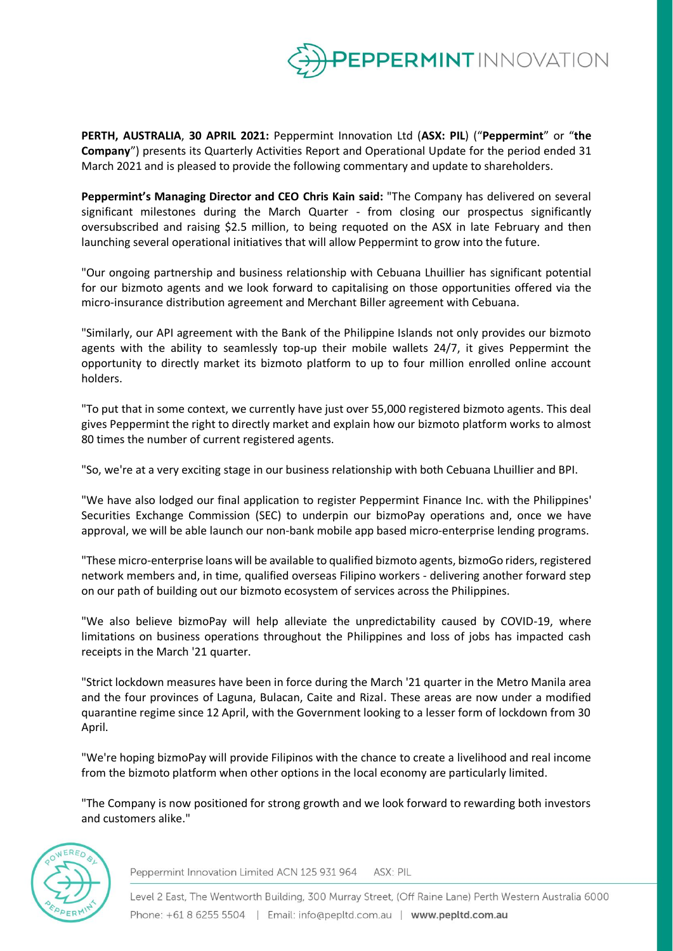

**PERTH, AUSTRALIA**, **30 APRIL 2021:** Peppermint Innovation Ltd (**ASX: PIL**) ("**Peppermint**" or "**the Company**") presents its Quarterly Activities Report and Operational Update for the period ended 31 March 2021 and is pleased to provide the following commentary and update to shareholders.

**Peppermint's Managing Director and CEO Chris Kain said:** "The Company has delivered on several significant milestones during the March Quarter - from closing our prospectus significantly oversubscribed and raising \$2.5 million, to being requoted on the ASX in late February and then launching several operational initiatives that will allow Peppermint to grow into the future.

"Our ongoing partnership and business relationship with Cebuana Lhuillier has significant potential for our bizmoto agents and we look forward to capitalising on those opportunities offered via the micro-insurance distribution agreement and Merchant Biller agreement with Cebuana.

"Similarly, our API agreement with the Bank of the Philippine Islands not only provides our bizmoto agents with the ability to seamlessly top-up their mobile wallets 24/7, it gives Peppermint the opportunity to directly market its bizmoto platform to up to four million enrolled online account holders.

"To put that in some context, we currently have just over 55,000 registered bizmoto agents. This deal gives Peppermint the right to directly market and explain how our bizmoto platform works to almost 80 times the number of current registered agents.

"So, we're at a very exciting stage in our business relationship with both Cebuana Lhuillier and BPI.

"We have also lodged our final application to register Peppermint Finance Inc. with the Philippines' Securities Exchange Commission (SEC) to underpin our bizmoPay operations and, once we have approval, we will be able launch our non-bank mobile app based micro-enterprise lending programs.

"These micro-enterprise loans will be available to qualified bizmoto agents, bizmoGo riders, registered network members and, in time, qualified overseas Filipino workers - delivering another forward step on our path of building out our bizmoto ecosystem of services across the Philippines.

"We also believe bizmoPay will help alleviate the unpredictability caused by COVID-19, where limitations on business operations throughout the Philippines and loss of jobs has impacted cash receipts in the March '21 quarter.

"Strict lockdown measures have been in force during the March '21 quarter in the Metro Manila area and the four provinces of Laguna, Bulacan, Caite and Rizal. These areas are now under a modified quarantine regime since 12 April, with the Government looking to a lesser form of lockdown from 30 April.

"We're hoping bizmoPay will provide Filipinos with the chance to create a livelihood and real income from the bizmoto platform when other options in the local economy are particularly limited.

"The Company is now positioned for strong growth and we look forward to rewarding both investors and customers alike."



Peppermint Innovation Limited ACN 125 931 964 ASX: PIL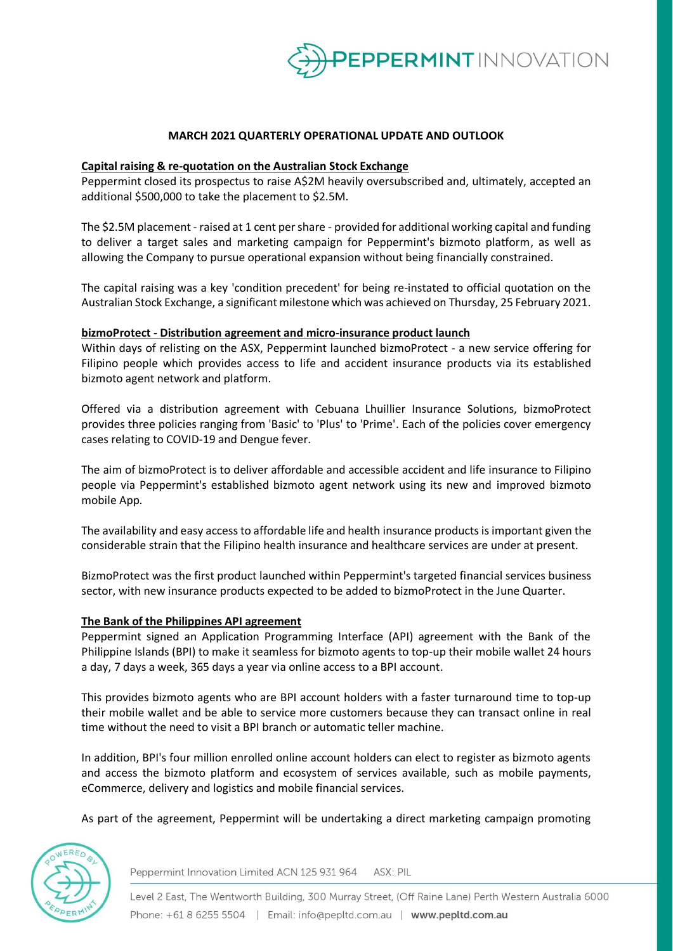

## **MARCH 2021 QUARTERLY OPERATIONAL UPDATE AND OUTLOOK**

#### **Capital raising & re-quotation on the Australian Stock Exchange**

Peppermint closed its prospectus to raise A\$2M heavily oversubscribed and, ultimately, accepted an additional \$500,000 to take the placement to \$2.5M.

The \$2.5M placement - raised at 1 cent per share - provided for additional working capital and funding to deliver a target sales and marketing campaign for Peppermint's bizmoto platform, as well as allowing the Company to pursue operational expansion without being financially constrained.

The capital raising was a key 'condition precedent' for being re-instated to official quotation on the Australian Stock Exchange, a significant milestone which was achieved on Thursday, 25 February 2021.

#### **bizmoProtect - Distribution agreement and micro-insurance product launch**

Within days of relisting on the ASX, Peppermint launched bizmoProtect - a new service offering for Filipino people which provides access to life and accident insurance products via its established bizmoto agent network and platform.

Offered via a distribution agreement with Cebuana Lhuillier Insurance Solutions, bizmoProtect provides three policies ranging from 'Basic' to 'Plus' to 'Prime'. Each of the policies cover emergency cases relating to COVID-19 and Dengue fever.

The aim of bizmoProtect is to deliver affordable and accessible accident and life insurance to Filipino people via Peppermint's established bizmoto agent network using its new and improved bizmoto mobile App.

The availability and easy access to affordable life and health insurance products is important given the considerable strain that the Filipino health insurance and healthcare services are under at present.

BizmoProtect was the first product launched within Peppermint's targeted financial services business sector, with new insurance products expected to be added to bizmoProtect in the June Quarter.

#### **The Bank of the Philippines API agreement**

Peppermint signed an Application Programming Interface (API) agreement with the Bank of the Philippine Islands (BPI) to make it seamless for bizmoto agents to top-up their mobile wallet 24 hours a day, 7 days a week, 365 days a year via online access to a BPI account.

This provides bizmoto agents who are BPI account holders with a faster turnaround time to top-up their mobile wallet and be able to service more customers because they can transact online in real time without the need to visit a BPI branch or automatic teller machine.

In addition, BPI's four million enrolled online account holders can elect to register as bizmoto agents and access the bizmoto platform and ecosystem of services available, such as mobile payments, eCommerce, delivery and logistics and mobile financial services.

As part of the agreement, Peppermint will be undertaking a direct marketing campaign promoting



Peppermint Innovation Limited ACN 125 931 964 ASX: PIL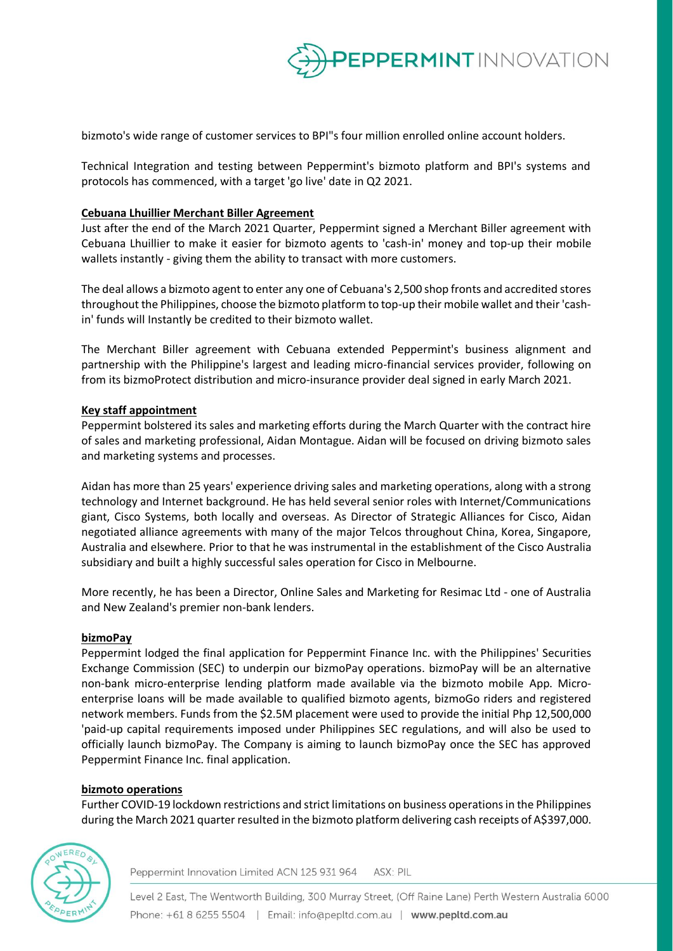

bizmoto's wide range of customer services to BPI"s four million enrolled online account holders.

Technical Integration and testing between Peppermint's bizmoto platform and BPI's systems and protocols has commenced, with a target 'go live' date in Q2 2021.

## **Cebuana Lhuillier Merchant Biller Agreement**

Just after the end of the March 2021 Quarter, Peppermint signed a Merchant Biller agreement with Cebuana Lhuillier to make it easier for bizmoto agents to 'cash-in' money and top-up their mobile wallets instantly - giving them the ability to transact with more customers.

The deal allows a bizmoto agent to enter any one of Cebuana's 2,500 shop fronts and accredited stores throughout the Philippines, choose the bizmoto platform to top-up their mobile wallet and their 'cashin' funds will Instantly be credited to their bizmoto wallet.

The Merchant Biller agreement with Cebuana extended Peppermint's business alignment and partnership with the Philippine's largest and leading micro-financial services provider, following on from its bizmoProtect distribution and micro-insurance provider deal signed in early March 2021.

## **Key staff appointment**

Peppermint bolstered its sales and marketing efforts during the March Quarter with the contract hire of sales and marketing professional, Aidan Montague. Aidan will be focused on driving bizmoto sales and marketing systems and processes.

Aidan has more than 25 years' experience driving sales and marketing operations, along with a strong technology and Internet background. He has held several senior roles with Internet/Communications giant, Cisco Systems, both locally and overseas. As Director of Strategic Alliances for Cisco, Aidan negotiated alliance agreements with many of the major Telcos throughout China, Korea, Singapore, Australia and elsewhere. Prior to that he was instrumental in the establishment of the Cisco Australia subsidiary and built a highly successful sales operation for Cisco in Melbourne.

More recently, he has been a Director, Online Sales and Marketing for Resimac Ltd - one of Australia and New Zealand's premier non-bank lenders.

## **bizmoPay**

Peppermint lodged the final application for Peppermint Finance Inc. with the Philippines' Securities Exchange Commission (SEC) to underpin our bizmoPay operations. bizmoPay will be an alternative non-bank micro-enterprise lending platform made available via the bizmoto mobile App. Microenterprise loans will be made available to qualified bizmoto agents, bizmoGo riders and registered network members. Funds from the \$2.5M placement were used to provide the initial Php 12,500,000 'paid-up capital requirements imposed under Philippines SEC regulations, and will also be used to officially launch bizmoPay. The Company is aiming to launch bizmoPay once the SEC has approved Peppermint Finance Inc. final application.

## **bizmoto operations**

Further COVID-19 lockdown restrictions and strict limitations on business operations in the Philippines during the March 2021 quarter resulted in the bizmoto platform delivering cash receipts of A\$397,000.



Peppermint Innovation Limited ACN 125 931 964 ASX: PIL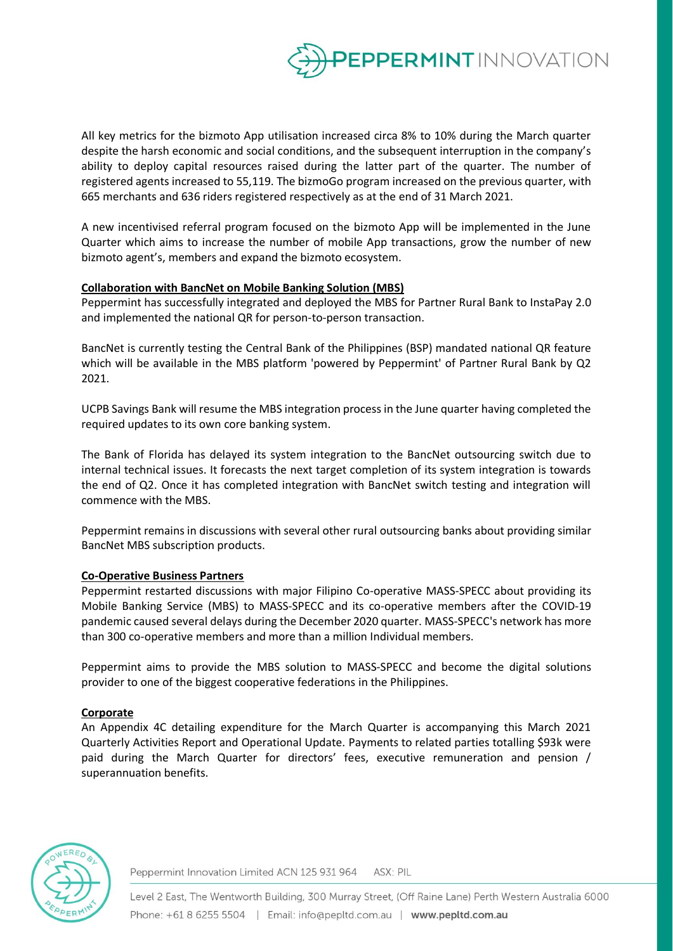

All key metrics for the bizmoto App utilisation increased circa 8% to 10% during the March quarter despite the harsh economic and social conditions, and the subsequent interruption in the company's ability to deploy capital resources raised during the latter part of the quarter. The number of registered agents increased to 55,119. The bizmoGo program increased on the previous quarter, with 665 merchants and 636 riders registered respectively as at the end of 31 March 2021.

A new incentivised referral program focused on the bizmoto App will be implemented in the June Quarter which aims to increase the number of mobile App transactions, grow the number of new bizmoto agent's, members and expand the bizmoto ecosystem.

## **Collaboration with BancNet on Mobile Banking Solution (MBS)**

Peppermint has successfully integrated and deployed the MBS for Partner Rural Bank to InstaPay 2.0 and implemented the national QR for person-to-person transaction.

BancNet is currently testing the Central Bank of the Philippines (BSP) mandated national QR feature which will be available in the MBS platform 'powered by Peppermint' of Partner Rural Bank by Q2 2021.

UCPB Savings Bank will resume the MBS integration process in the June quarter having completed the required updates to its own core banking system.

The Bank of Florida has delayed its system integration to the BancNet outsourcing switch due to internal technical issues. It forecasts the next target completion of its system integration is towards the end of Q2. Once it has completed integration with BancNet switch testing and integration will commence with the MBS.

Peppermint remains in discussions with several other rural outsourcing banks about providing similar BancNet MBS subscription products.

## **Co-Operative Business Partners**

Peppermint restarted discussions with major Filipino Co-operative MASS-SPECC about providing its Mobile Banking Service (MBS) to MASS-SPECC and its co-operative members after the COVID-19 pandemic caused several delays during the December 2020 quarter. MASS-SPECC's network has more than 300 co-operative members and more than a million Individual members.

Peppermint aims to provide the MBS solution to MASS-SPECC and become the digital solutions provider to one of the biggest cooperative federations in the Philippines.

## **Corporate**

An Appendix 4C detailing expenditure for the March Quarter is accompanying this March 2021 Quarterly Activities Report and Operational Update. Payments to related parties totalling \$93k were paid during the March Quarter for directors' fees, executive remuneration and pension / superannuation benefits.



Peppermint Innovation Limited ACN 125 931 964 ASX: PIL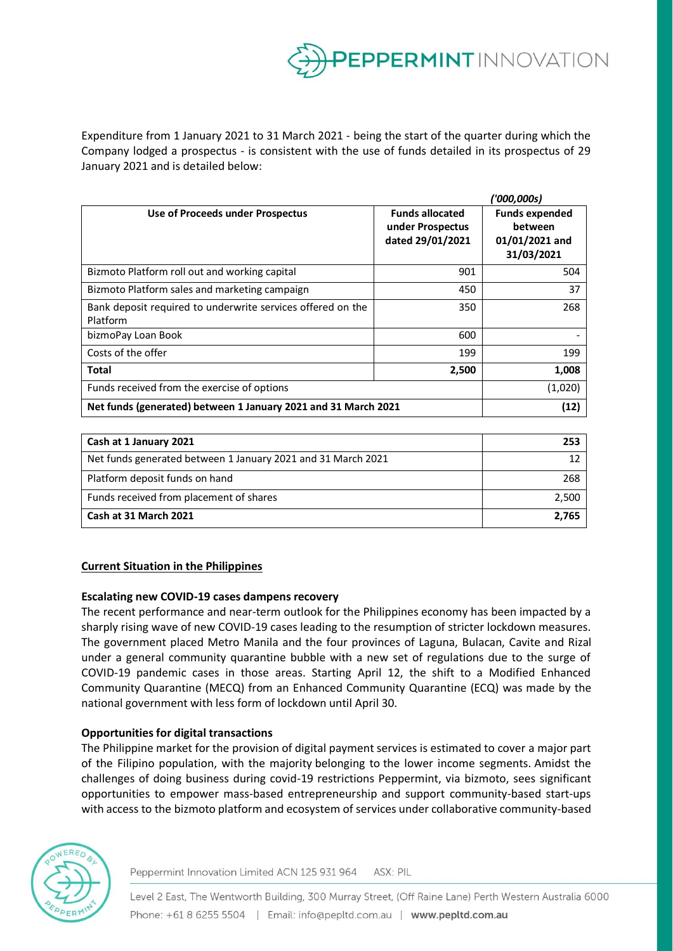

Expenditure from 1 January 2021 to 31 March 2021 - being the start of the quarter during which the Company lodged a prospectus - is consistent with the use of funds detailed in its prospectus of 29 January 2021 and is detailed below:

|                                                                         |                                                                | ('000,000s)                                                      |
|-------------------------------------------------------------------------|----------------------------------------------------------------|------------------------------------------------------------------|
| Use of Proceeds under Prospectus                                        | <b>Funds allocated</b><br>under Prospectus<br>dated 29/01/2021 | <b>Funds expended</b><br>between<br>01/01/2021 and<br>31/03/2021 |
| Bizmoto Platform roll out and working capital                           | 901                                                            | 504                                                              |
| Bizmoto Platform sales and marketing campaign                           | 450                                                            | 37                                                               |
| Bank deposit required to underwrite services offered on the<br>Platform | 350                                                            | 268                                                              |
| bizmoPay Loan Book                                                      | 600                                                            |                                                                  |
| Costs of the offer                                                      | 199                                                            | 199                                                              |
| Total                                                                   | 2,500                                                          | 1,008                                                            |
| Funds received from the exercise of options                             |                                                                | (1,020)                                                          |
| Net funds (generated) between 1 January 2021 and 31 March 2021          |                                                                | (12)                                                             |

| Cash at 1 January 2021                                       | 253   |
|--------------------------------------------------------------|-------|
| Net funds generated between 1 January 2021 and 31 March 2021 |       |
| Platform deposit funds on hand                               | 268   |
| Funds received from placement of shares                      | 2.500 |
| Cash at 31 March 2021                                        | 2.765 |

# **Current Situation in the Philippines**

## **Escalating new COVID-19 cases dampens recovery**

The recent performance and near-term outlook for the Philippines economy has been impacted by a sharply rising wave of new COVID-19 cases leading to the resumption of stricter lockdown measures. The government placed Metro Manila and the four provinces of Laguna, Bulacan, Cavite and Rizal under a general community quarantine bubble with a new set of regulations due to the surge of COVID-19 pandemic cases in those areas. Starting April 12, the shift to a Modified Enhanced Community Quarantine (MECQ) from an Enhanced Community Quarantine (ECQ) was made by the national government with less form of lockdown until April 30.

## **Opportunities for digital transactions**

The Philippine market for the provision of digital payment services is estimated to cover a major part of the Filipino population, with the majority belonging to the lower income segments. Amidst the challenges of doing business during covid-19 restrictions Peppermint, via bizmoto, sees significant opportunities to empower mass-based entrepreneurship and support community-based start-ups with access to the bizmoto platform and ecosystem of services under collaborative community-based



Peppermint Innovation Limited ACN 125 931 964 ASX: PIL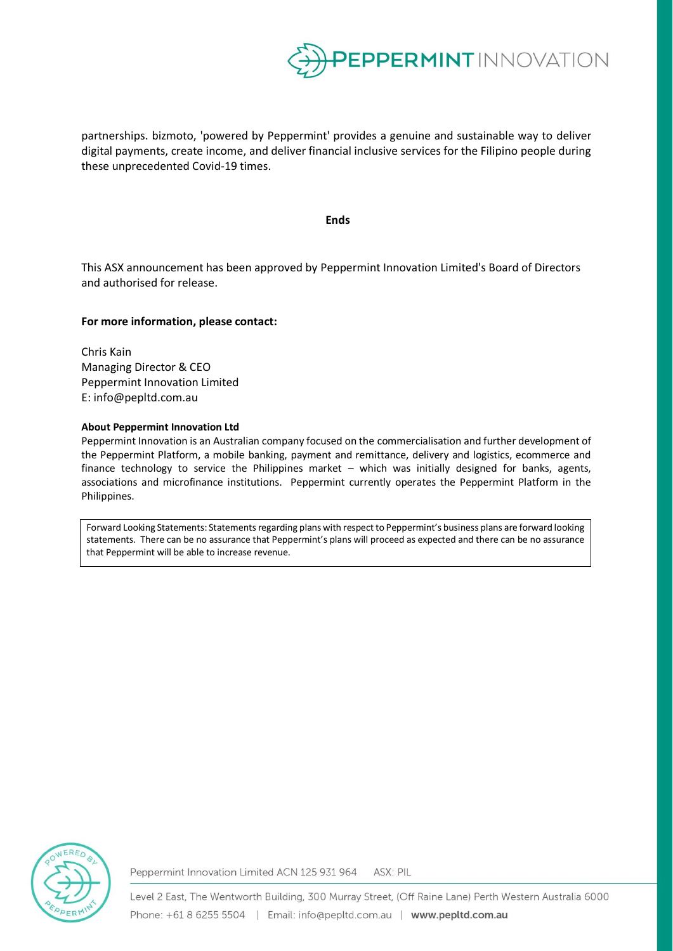

partnerships. bizmoto, 'powered by Peppermint' provides a genuine and sustainable way to deliver digital payments, create income, and deliver financial inclusive services for the Filipino people during these unprecedented Covid-19 times.

#### **Ends**

This ASX announcement has been approved by Peppermint Innovation Limited's Board of Directors and authorised for release.

#### **For more information, please contact:**

Chris Kain Managing Director & CEO Peppermint Innovation Limited E: info@pepltd.com.au

#### **About Peppermint Innovation Ltd**

Peppermint Innovation is an Australian company focused on the commercialisation and further development of the Peppermint Platform, a mobile banking, payment and remittance, delivery and logistics, ecommerce and finance technology to service the Philippines market – which was initially designed for banks, agents, associations and microfinance institutions. Peppermint currently operates the Peppermint Platform in the Philippines.

Forward Looking Statements: Statements regarding plans with respect to Peppermint's business plans are forward looking statements. There can be no assurance that Peppermint's plans will proceed as expected and there can be no assurance that Peppermint will be able to increase revenue.



Peppermint Innovation Limited ACN 125 931 964 ASX: PIL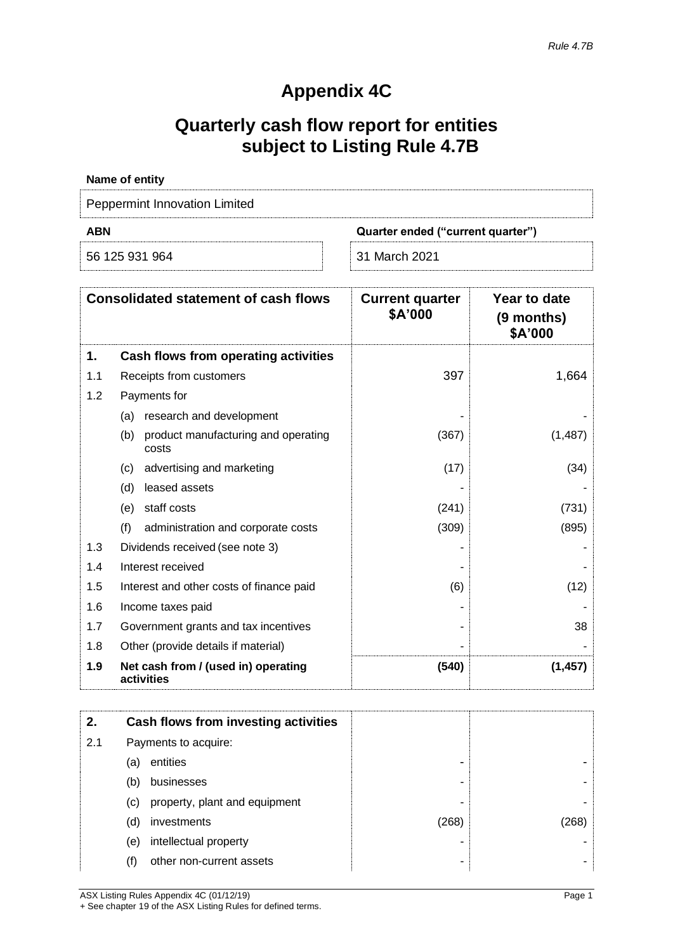# **Appendix 4C**

# **Quarterly cash flow report for entities subject to Listing Rule 4.7B**

| Name of entity                                  |               |  |
|-------------------------------------------------|---------------|--|
| Peppermint Innovation Limited                   |               |  |
| <b>ABN</b><br>Quarter ended ("current quarter") |               |  |
| 56 125 931 964                                  | 31 March 2021 |  |

|     | <b>Consolidated statement of cash flows</b>         | <b>Current quarter</b><br>\$A'000 | Year to date<br>(9 months)<br>\$A'000 |
|-----|-----------------------------------------------------|-----------------------------------|---------------------------------------|
| 1.  | Cash flows from operating activities                |                                   |                                       |
| 1.1 | Receipts from customers                             | 397                               | 1,664                                 |
| 1.2 | Payments for                                        |                                   |                                       |
|     | research and development<br>(a)                     |                                   |                                       |
|     | (b)<br>product manufacturing and operating<br>costs | (367)                             | (1, 487)                              |
|     | advertising and marketing<br>(c)                    | (17)                              | (34)                                  |
|     | leased assets<br>(d)                                |                                   |                                       |
|     | staff costs<br>(e)                                  | (241)                             | (731)                                 |
|     | (f)<br>administration and corporate costs           | (309)                             | (895)                                 |
| 1.3 | Dividends received (see note 3)                     |                                   |                                       |
| 1.4 | Interest received                                   |                                   |                                       |
| 1.5 | Interest and other costs of finance paid            | (6)                               | (12)                                  |
| 1.6 | Income taxes paid                                   |                                   |                                       |
| 1.7 | Government grants and tax incentives                |                                   | 38                                    |
| 1.8 | Other (provide details if material)                 |                                   |                                       |
| 1.9 | Net cash from / (used in) operating<br>activities   | (540)                             | (1, 457)                              |

| 2.  |     | Cash flows from investing activities |       |       |
|-----|-----|--------------------------------------|-------|-------|
| 2.1 |     | Payments to acquire:                 |       |       |
|     | (a) | entities                             |       |       |
|     | (b) | businesses                           |       |       |
|     | (c) | property, plant and equipment        |       |       |
|     | (d) | investments                          | (268) | (268) |
|     | (e) | intellectual property                |       |       |
|     | (f) | other non-current assets             | -     |       |

ASX Listing Rules Appendix 4C (01/12/19) Page 1 + See chapter 19 of the ASX Listing Rules for defined terms.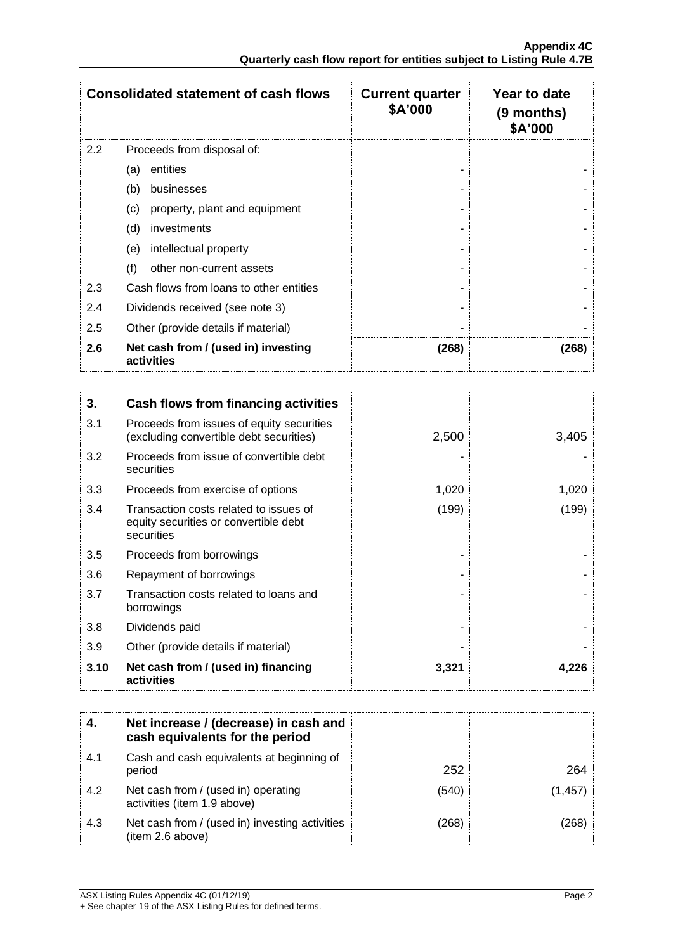| <b>Consolidated statement of cash flows</b> |                                                   | <b>Current quarter</b><br>\$A'000 | Year to date<br>$(9$ months)<br>\$A'000 |  |
|---------------------------------------------|---------------------------------------------------|-----------------------------------|-----------------------------------------|--|
| 2.2                                         | Proceeds from disposal of:                        |                                   |                                         |  |
|                                             | entities<br>(a)                                   |                                   |                                         |  |
|                                             | (b)<br>businesses                                 |                                   |                                         |  |
|                                             | (c)<br>property, plant and equipment              |                                   |                                         |  |
|                                             | (d)<br>investments                                |                                   |                                         |  |
|                                             | intellectual property<br>(e)                      |                                   |                                         |  |
|                                             | (f)<br>other non-current assets                   |                                   |                                         |  |
| 2.3                                         | Cash flows from loans to other entities           |                                   |                                         |  |
| 2.4                                         | Dividends received (see note 3)                   |                                   |                                         |  |
| 2.5                                         | Other (provide details if material)               |                                   |                                         |  |
| 2.6                                         | Net cash from / (used in) investing<br>activities | (268)                             | (268)                                   |  |

| 3.   | Cash flows from financing activities                                                          |       |       |
|------|-----------------------------------------------------------------------------------------------|-------|-------|
| 3.1  | Proceeds from issues of equity securities<br>(excluding convertible debt securities)          | 2,500 | 3,405 |
| 3.2  | Proceeds from issue of convertible debt<br>securities                                         |       |       |
| 3.3  | Proceeds from exercise of options                                                             | 1,020 | 1,020 |
| 3.4  | Transaction costs related to issues of<br>equity securities or convertible debt<br>securities | (199) | (199) |
| 3.5  | Proceeds from borrowings                                                                      |       |       |
| 3.6  | Repayment of borrowings                                                                       |       |       |
| 3.7  | Transaction costs related to loans and<br>borrowings                                          |       |       |
| 3.8  | Dividends paid                                                                                |       |       |
| 3.9  | Other (provide details if material)                                                           |       |       |
| 3.10 | Net cash from / (used in) financing<br>activities                                             | 3,321 | 4,226 |

|     | Net increase / (decrease) in cash and<br>cash equivalents for the period |       |     |
|-----|--------------------------------------------------------------------------|-------|-----|
| 4.1 | Cash and cash equivalents at beginning of<br>period                      | 252   | 264 |
| 4.2 | Net cash from / (used in) operating<br>activities (item 1.9 above)       | (540) |     |
| 4.3 | Net cash from / (used in) investing activities<br>(item 2.6 above)       | 268)  |     |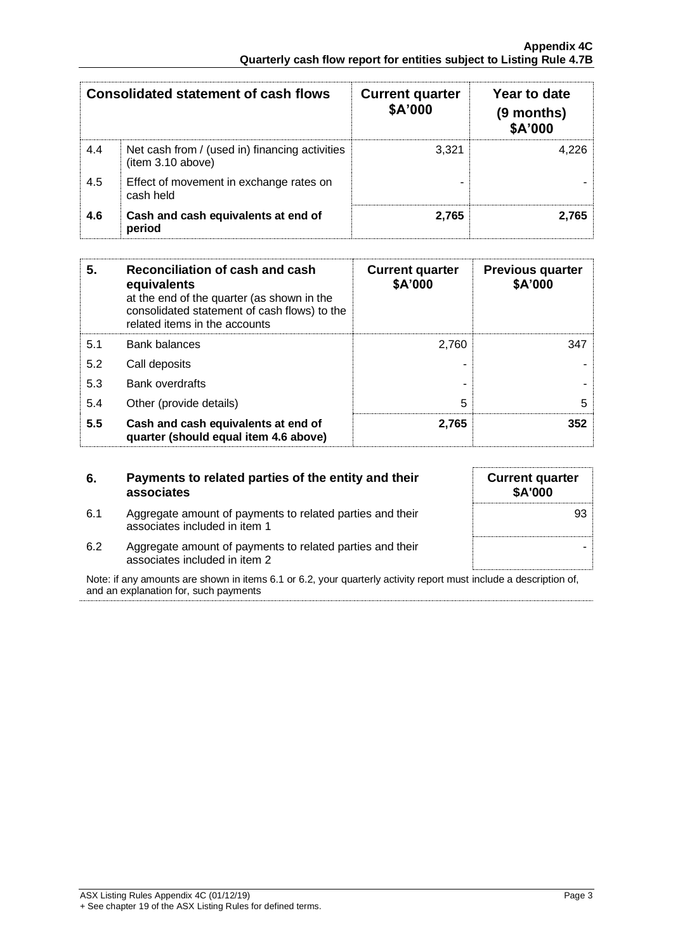|     | <b>Consolidated statement of cash flows</b>                         | <b>Current quarter</b><br>\$A'000 | Year to date<br>(9 months)<br>\$A'000 |
|-----|---------------------------------------------------------------------|-----------------------------------|---------------------------------------|
| 4.4 | Net cash from / (used in) financing activities<br>(item 3.10 above) | 3.321                             | 4.226                                 |
| 4.5 | Effect of movement in exchange rates on<br>cash held                |                                   |                                       |
| 4.6 | Cash and cash equivalents at end of<br>period                       | 2.765                             | 2.765                                 |

| 5.  | Reconciliation of cash and cash<br>equivalents<br>at the end of the quarter (as shown in the<br>consolidated statement of cash flows) to the<br>related items in the accounts | <b>Current quarter</b><br>\$A'000 | <b>Previous quarter</b><br>\$A'000 |
|-----|-------------------------------------------------------------------------------------------------------------------------------------------------------------------------------|-----------------------------------|------------------------------------|
| 5.1 | <b>Bank balances</b>                                                                                                                                                          | 2,760                             | 347                                |
| 5.2 | Call deposits                                                                                                                                                                 |                                   |                                    |
| 5.3 | <b>Bank overdrafts</b>                                                                                                                                                        |                                   |                                    |
| 5.4 | Other (provide details)                                                                                                                                                       | 5                                 | 5                                  |
| 5.5 | Cash and cash equivalents at end of<br>quarter (should equal item 4.6 above)                                                                                                  | 2,765                             | 352                                |

| 6.  | Payments to related parties of the entity and their<br>associates                          |  |
|-----|--------------------------------------------------------------------------------------------|--|
| 6.1 | Aggregate amount of payments to related parties and their<br>associates included in item 1 |  |
| 6.2 | Aggregate amount of payments to related parties and their<br>associates included in item 2 |  |

| Note: if any amounts are shown in items 6.1 or 6.2, your quarterly activity report must include a description of, |  |
|-------------------------------------------------------------------------------------------------------------------|--|
| and an explanation for, such payments                                                                             |  |

**Current quarter \$A'000**

93

-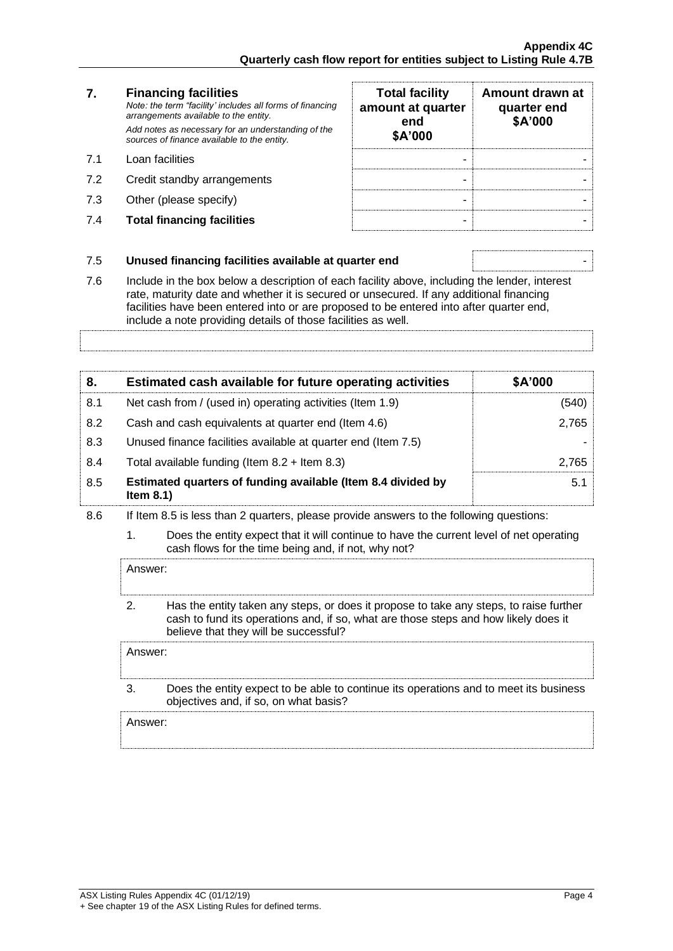#### **7. Financing facilities** *Note: the term "facility' includes all forms of financing arrangements available to the entity. Add notes as necessary for an understanding of the sources of finance available to the entity.* 7.1 Loan facilities

- 7.2 Credit standby arrangements
- $7.3$  Other (please specify)
- **7.4 Total financing facilities**

| <b>Total facility</b><br>amount at quarter<br>end<br>\$A'000 | Amount drawn at<br>quarter end<br>\$A'000 |
|--------------------------------------------------------------|-------------------------------------------|
|                                                              |                                           |
|                                                              |                                           |
|                                                              |                                           |

# 7.5 **Unused financing facilities available at quarter end** -

7.6 Include in the box below a description of each facility above, including the lender, interest rate, maturity date and whether it is secured or unsecured. If any additional financing facilities have been entered into or are proposed to be entered into after quarter end, include a note providing details of those facilities as well.

# **8. Estimated cash available for future operating activities \$A'000** 8.1 Net cash from / (used in) operating activities (Item 1.9) (540) 8.2 Cash and cash equivalents at quarter end (Item 4.6) 2,765 8.3 Unused finance facilities available at quarter end (Item 7.5) 8.4 Total available funding (Item 8.2 + Item 8.3) 2,765 8.5 **Estimated quarters of funding available (Item 8.4 divided by Item 8.1)** 5.1

- 8.6 If Item 8.5 is less than 2 quarters, please provide answers to the following questions:
	- 1. Does the entity expect that it will continue to have the current level of net operating cash flows for the time being and, if not, why not?

Answer:

2. Has the entity taken any steps, or does it propose to take any steps, to raise further cash to fund its operations and, if so, what are those steps and how likely does it believe that they will be successful?

Answer:

3. Does the entity expect to be able to continue its operations and to meet its business objectives and, if so, on what basis?

Answer: